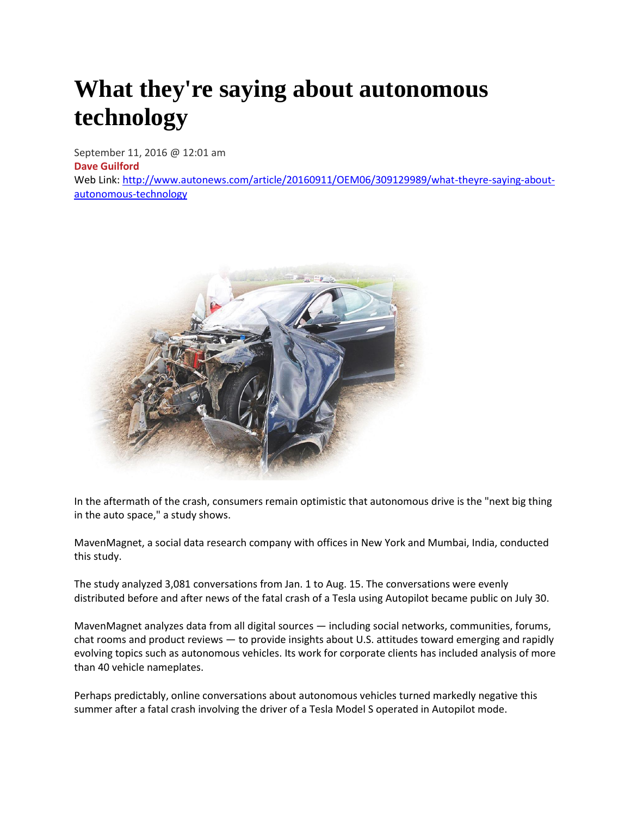# **What they're saying about autonomous technology**

September 11, 2016 @ 12:01 am **[Dave Guilford](http://www.autonews.com/staff/Dave-Guilford)** Web Link: [http://www.autonews.com/article/20160911/OEM06/309129989/what-theyre-saying-about](http://www.autonews.com/article/20160911/OEM06/309129989/what-theyre-saying-about-autonomous-technology)[autonomous-technology](http://www.autonews.com/article/20160911/OEM06/309129989/what-theyre-saying-about-autonomous-technology)



In the aftermath of the crash, consumers remain optimistic that autonomous drive is the "next big thing in the auto space," a study shows.

MavenMagnet, a social data research company with offices in New York and Mumbai, India, conducted this study.

The study analyzed 3,081 conversations from Jan. 1 to Aug. 15. The conversations were evenly distributed before and after news of the fatal crash of a Tesla using Autopilot became public on July 30.

MavenMagnet analyzes data from all digital sources — including social networks, communities, forums, chat rooms and product reviews — to provide insights about U.S. attitudes toward emerging and rapidly evolving topics such as autonomous vehicles. Its work for corporate clients has included analysis of more than 40 vehicle nameplates.

Perhaps predictably, online conversations about autonomous vehicles turned markedly negative this summer after a fatal crash involving the driver of a Tesla Model S operated in Autopilot mode.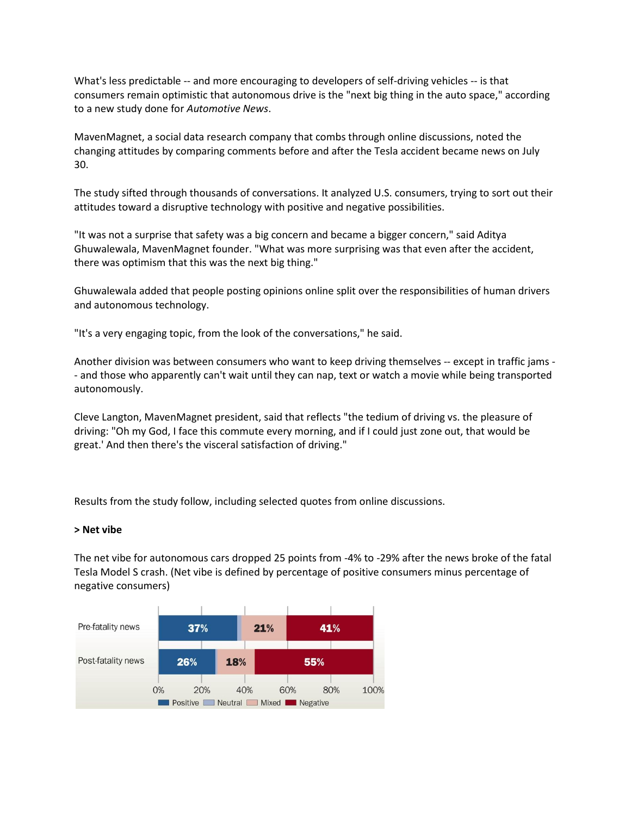What's less predictable -- and more encouraging to developers of self-driving vehicles -- is that consumers remain optimistic that autonomous drive is the "next big thing in the auto space," according to a new study done for *Automotive News*.

MavenMagnet, a social data research company that combs through online discussions, noted the changing attitudes by comparing comments before and after the Tesla accident became news on July 30.

The study sifted through thousands of conversations. It analyzed U.S. consumers, trying to sort out their attitudes toward a disruptive technology with positive and negative possibilities.

"It was not a surprise that safety was a big concern and became a bigger concern," said Aditya Ghuwalewala, MavenMagnet founder. "What was more surprising was that even after the accident, there was optimism that this was the next big thing."

Ghuwalewala added that people posting opinions online split over the responsibilities of human drivers and autonomous technology.

"It's a very engaging topic, from the look of the conversations," he said.

Another division was between consumers who want to keep driving themselves -- except in traffic jams -- and those who apparently can't wait until they can nap, text or watch a movie while being transported autonomously.

Cleve Langton, MavenMagnet president, said that reflects "the tedium of driving vs. the pleasure of driving: "Oh my God, I face this commute every morning, and if I could just zone out, that would be great.' And then there's the visceral satisfaction of driving."

Results from the study follow, including selected quotes from online discussions.

# **> Net vibe**

The net vibe for autonomous cars dropped 25 points from -4% to -29% after the news broke of the fatal Tesla Model S crash. (Net vibe is defined by percentage of positive consumers minus percentage of negative consumers)

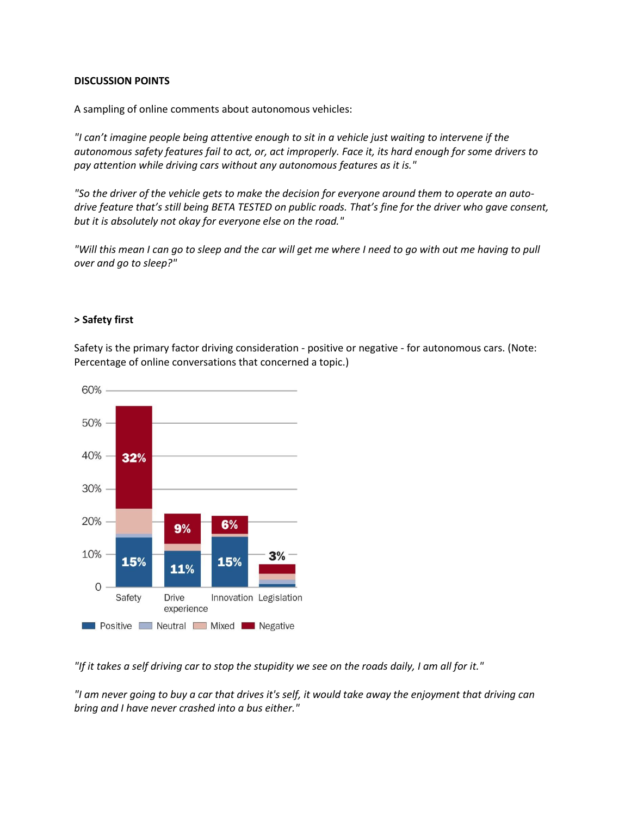# **DISCUSSION POINTS**

A sampling of online comments about autonomous vehicles:

*"I can't imagine people being attentive enough to sit in a vehicle just waiting to intervene if the autonomous safety features fail to act, or, act improperly. Face it, its hard enough for some drivers to pay attention while driving cars without any autonomous features as it is."*

*"So the driver of the vehicle gets to make the decision for everyone around them to operate an autodrive feature that's still being BETA TESTED on public roads. That's fine for the driver who gave consent, but it is absolutely not okay for everyone else on the road."*

*"Will this mean I can go to sleep and the car will get me where I need to go with out me having to pull over and go to sleep?"*

# **> Safety first**

Safety is the primary factor driving consideration - positive or negative - for autonomous cars. (Note: Percentage of online conversations that concerned a topic.)



*"If it takes a self driving car to stop the stupidity we see on the roads daily, I am all for it."*

*"I am never going to buy a car that drives it's self, it would take away the enjoyment that driving can bring and I have never crashed into a bus either."*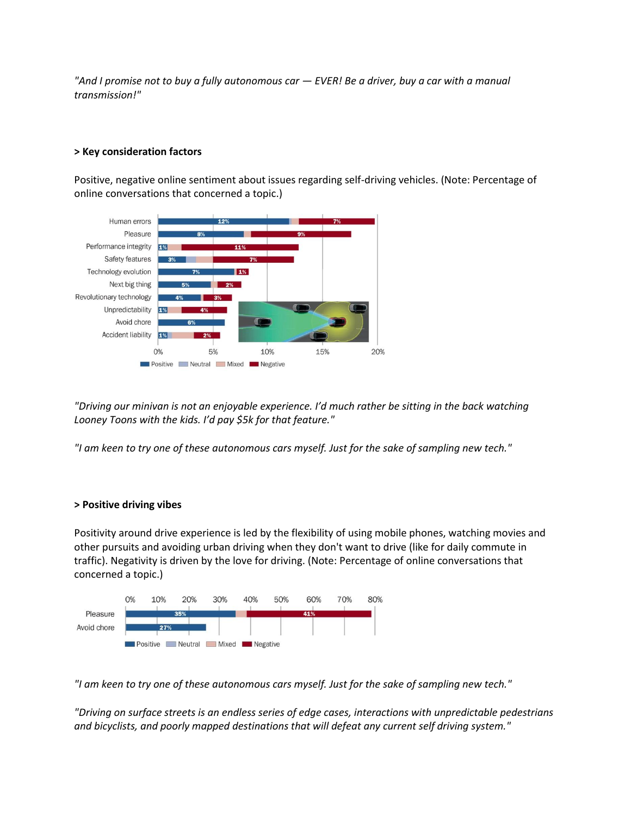*"And I promise not to buy a fully autonomous car — EVER! Be a driver, buy a car with a manual transmission!"*

# **> Key consideration factors**

Positive, negative online sentiment about issues regarding self-driving vehicles. (Note: Percentage of online conversations that concerned a topic.)



*"Driving our minivan is not an enjoyable experience. I'd much rather be sitting in the back watching Looney Toons with the kids. I'd pay \$5k for that feature."*

*"I am keen to try one of these autonomous cars myself. Just for the sake of sampling new tech."*

# **> Positive driving vibes**

Positivity around drive experience is led by the flexibility of using mobile phones, watching movies and other pursuits and avoiding urban driving when they don't want to drive (like for daily commute in traffic). Negativity is driven by the love for driving. (Note: Percentage of online conversations that concerned a topic.)



*"I am keen to try one of these autonomous cars myself. Just for the sake of sampling new tech."*

*"Driving on surface streets is an endless series of edge cases, interactions with unpredictable pedestrians and bicyclists, and poorly mapped destinations that will defeat any current self driving system."*